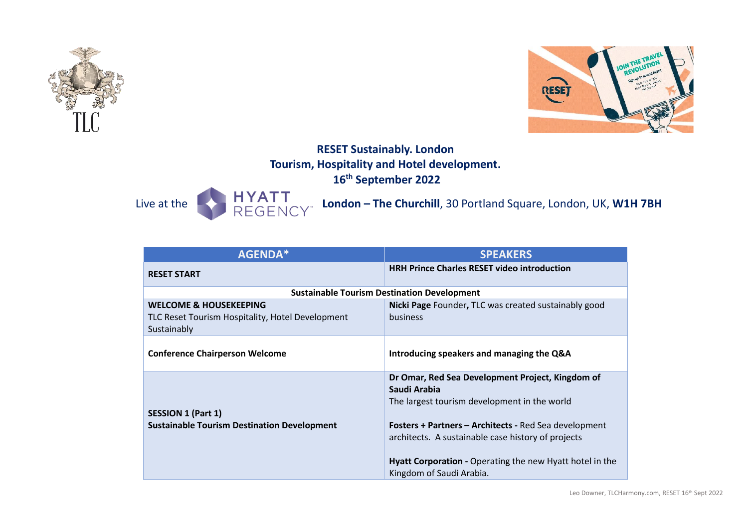



# **RESET Sustainably. London Tourism, Hospitality and Hotel development. 16th September 2022**

Live at the **London – The Churchill**, 30 Portland Square, London, UK, W1H 7BH

| <b>AGENDA*</b>                                                                                       | <b>SPEAKERS</b>                                                                                                                                                                                                                                                                                                                |  |
|------------------------------------------------------------------------------------------------------|--------------------------------------------------------------------------------------------------------------------------------------------------------------------------------------------------------------------------------------------------------------------------------------------------------------------------------|--|
| <b>RESET START</b>                                                                                   | <b>HRH Prince Charles RESET video introduction</b>                                                                                                                                                                                                                                                                             |  |
| <b>Sustainable Tourism Destination Development</b>                                                   |                                                                                                                                                                                                                                                                                                                                |  |
| <b>WELCOME &amp; HOUSEKEEPING</b><br>TLC Reset Tourism Hospitality, Hotel Development<br>Sustainably | Nicki Page Founder, TLC was created sustainably good<br><b>business</b>                                                                                                                                                                                                                                                        |  |
| <b>Conference Chairperson Welcome</b>                                                                | Introducing speakers and managing the Q&A                                                                                                                                                                                                                                                                                      |  |
| <b>SESSION 1 (Part 1)</b><br><b>Sustainable Tourism Destination Development</b>                      | Dr Omar, Red Sea Development Project, Kingdom of<br>Saudi Arabia<br>The largest tourism development in the world<br><b>Fosters + Partners - Architects - Red Sea development</b><br>architects. A sustainable case history of projects<br>Hyatt Corporation - Operating the new Hyatt hotel in the<br>Kingdom of Saudi Arabia. |  |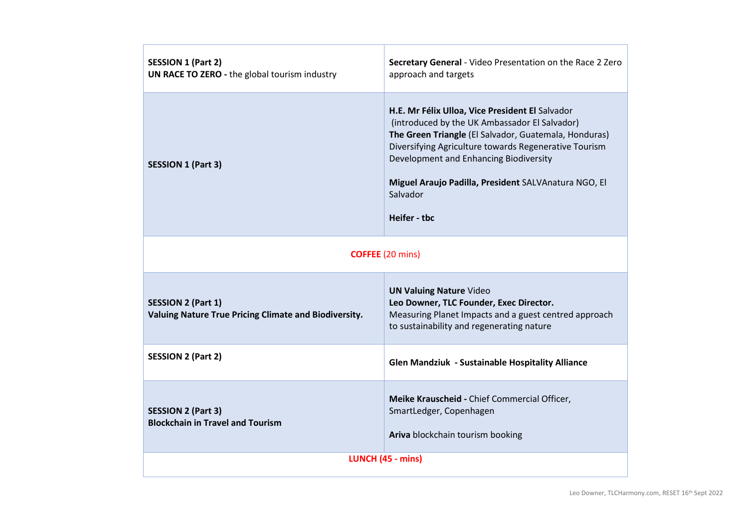| <b>SESSION 1 (Part 2)</b><br>UN RACE TO ZERO - the global tourism industry         | Secretary General - Video Presentation on the Race 2 Zero<br>approach and targets                                                                                                                                                                                                                                                                |  |
|------------------------------------------------------------------------------------|--------------------------------------------------------------------------------------------------------------------------------------------------------------------------------------------------------------------------------------------------------------------------------------------------------------------------------------------------|--|
| <b>SESSION 1 (Part 3)</b>                                                          | H.E. Mr Félix Ulloa, Vice President El Salvador<br>(introduced by the UK Ambassador El Salvador)<br>The Green Triangle (El Salvador, Guatemala, Honduras)<br>Diversifying Agriculture towards Regenerative Tourism<br>Development and Enhancing Biodiversity<br>Miguel Araujo Padilla, President SALVAnatura NGO, El<br>Salvador<br>Heifer - tbc |  |
| <b>COFFEE</b> (20 mins)                                                            |                                                                                                                                                                                                                                                                                                                                                  |  |
| <b>SESSION 2 (Part 1)</b><br>Valuing Nature True Pricing Climate and Biodiversity. | <b>UN Valuing Nature Video</b><br>Leo Downer, TLC Founder, Exec Director.<br>Measuring Planet Impacts and a guest centred approach<br>to sustainability and regenerating nature                                                                                                                                                                  |  |
| <b>SESSION 2 (Part 2)</b>                                                          | Glen Mandziuk - Sustainable Hospitality Alliance                                                                                                                                                                                                                                                                                                 |  |
| <b>SESSION 2 (Part 3)</b><br><b>Blockchain in Travel and Tourism</b>               | Meike Krauscheid - Chief Commercial Officer,<br>SmartLedger, Copenhagen<br>Ariva blockchain tourism booking                                                                                                                                                                                                                                      |  |
| LUNCH (45 - mins)                                                                  |                                                                                                                                                                                                                                                                                                                                                  |  |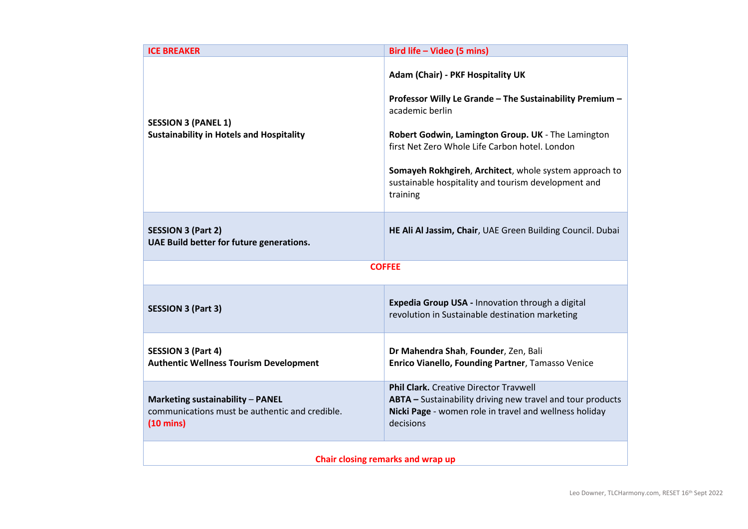| <b>ICE BREAKER</b>                                                                                        | Bird life - Video (5 mins)                                                                                                                                                                                                                                                                                                                            |  |
|-----------------------------------------------------------------------------------------------------------|-------------------------------------------------------------------------------------------------------------------------------------------------------------------------------------------------------------------------------------------------------------------------------------------------------------------------------------------------------|--|
| <b>SESSION 3 (PANEL 1)</b><br><b>Sustainability in Hotels and Hospitality</b>                             | Adam (Chair) - PKF Hospitality UK<br>Professor Willy Le Grande - The Sustainability Premium -<br>academic berlin<br>Robert Godwin, Lamington Group. UK - The Lamington<br>first Net Zero Whole Life Carbon hotel. London<br>Somayeh Rokhgireh, Architect, whole system approach to<br>sustainable hospitality and tourism development and<br>training |  |
| <b>SESSION 3 (Part 2)</b><br>UAE Build better for future generations.                                     | HE Ali Al Jassim, Chair, UAE Green Building Council. Dubai                                                                                                                                                                                                                                                                                            |  |
| <b>COFFEE</b>                                                                                             |                                                                                                                                                                                                                                                                                                                                                       |  |
| <b>SESSION 3 (Part 3)</b>                                                                                 | Expedia Group USA - Innovation through a digital<br>revolution in Sustainable destination marketing                                                                                                                                                                                                                                                   |  |
| <b>SESSION 3 (Part 4)</b><br><b>Authentic Wellness Tourism Development</b>                                | Dr Mahendra Shah, Founder, Zen, Bali<br>Enrico Vianello, Founding Partner, Tamasso Venice                                                                                                                                                                                                                                                             |  |
| Marketing sustainability - PANEL<br>communications must be authentic and credible.<br>$(10 \text{ mins})$ | <b>Phil Clark.</b> Creative Director Travwell<br>ABTA - Sustainability driving new travel and tour products<br>Nicki Page - women role in travel and wellness holiday<br>decisions                                                                                                                                                                    |  |
| Chair closing remarks and wrap up                                                                         |                                                                                                                                                                                                                                                                                                                                                       |  |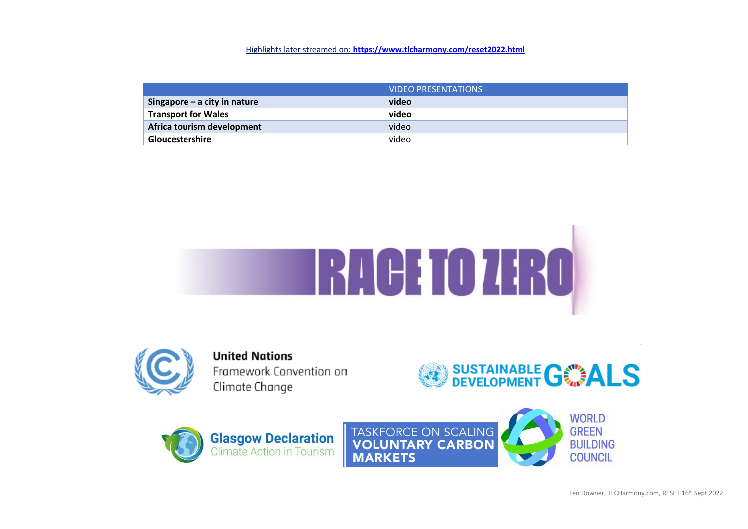### Highlights later streamed on: **<https://www.tlcharmony.com/reset2022.html>**

|                              | <b>VIDEO PRESENTATIONS</b> |
|------------------------------|----------------------------|
| Singapore - a city in nature | video                      |
| <b>Transport for Wales</b>   | video                      |
| Africa tourism development   | video                      |
| <b>Gloucestershire</b>       | video                      |





**United Nations** Framework Convention on Climate Change





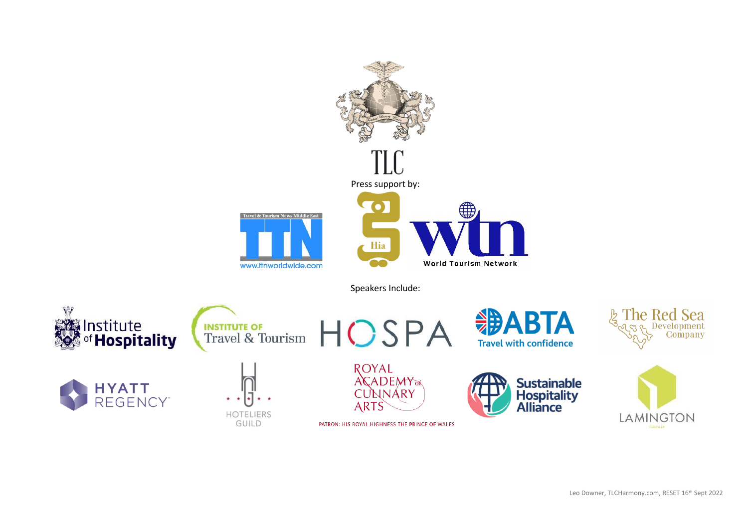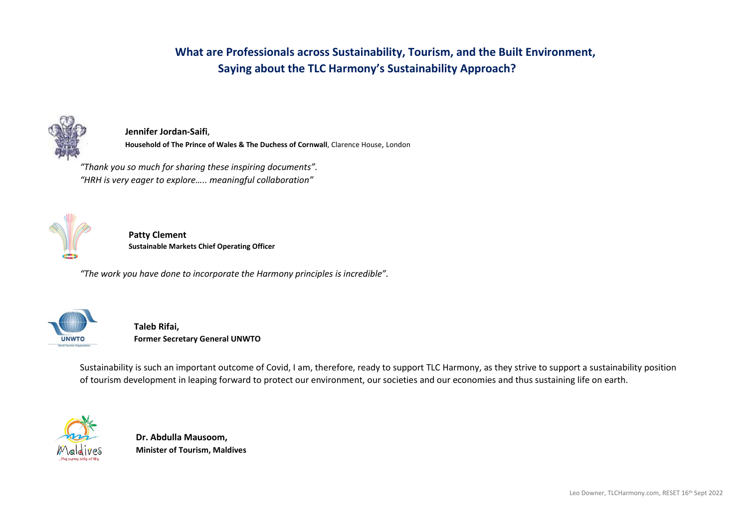## **What are Professionals across Sustainability, Tourism, and the Built Environment, Saying about the TLC Harmony's Sustainability Approach?**



**Jennifer Jordan-Saifi, Household of The Prince of Wales & The Duchess of Cornwall**, Clarence House, London

*"Thank you so much for sharing these inspiring documents". "HRH is very eager to explore….. meaningful collaboration"*



**Patty Clement Sustainable Markets Chief Operating Officer**

*"The work you have done to incorporate the Harmony principles is incredible".*



**Taleb Rifai, Former Secretary General UNWTO**

Sustainability is such an important outcome of Covid, I am, therefore, ready to support TLC Harmony, as they strive to support a sustainability position of tourism development in leaping forward to protect our environment, our societies and our economies and thus sustaining life on earth.



**Dr. Abdulla Mausoom, Minister of Tourism, Maldives**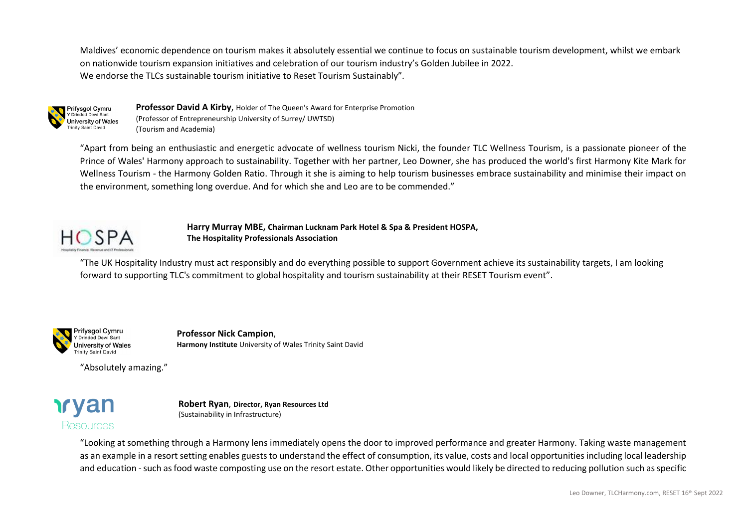Maldives' economic dependence on tourism makes it absolutely essential we continue to focus on sustainable tourism development, whilst we embark on nationwide tourism expansion initiatives and celebration of our tourism industry's Golden Jubilee in 2022. We endorse the TLCs sustainable tourism initiative to Reset Tourism Sustainably".



**Professor David A Kirby**, Holder of The Queen's Award for Enterprise Promotion (Professor of Entrepreneurship University of Surrey/ UWTSD) (Tourism and Academia)

"Apart from being an enthusiastic and energetic advocate of wellness tourism Nicki, the founder TLC Wellness Tourism, is a passionate pioneer of the Prince of Wales' Harmony approach to sustainability. Together with her partner, Leo Downer, she has produced the world's first Harmony Kite Mark for Wellness Tourism - the Harmony Golden Ratio. Through it she is aiming to help tourism businesses embrace sustainability and minimise their impact on the environment, something long overdue. And for which she and Leo are to be commended."



**Harry Murray MBE, Chairman Lucknam Park Hotel & Spa & President HOSPA, The Hospitality Professionals Association** 

"The UK Hospitality Industry must act responsibly and do everything possible to support Government achieve its sustainability targets, I am looking forward to supporting TLC's commitment to global hospitality and tourism sustainability at their RESET Tourism event".



**Professor Nick Campion**, **Harmony Institute** University of Wales Trinity Saint David

"Absolutely amazing."



**Robert Ryan**, **Director, Ryan Resources Ltd** (Sustainability in Infrastructure)

"Looking at something through a Harmony lens immediately opens the door to improved performance and greater Harmony. Taking waste management as an example in a resort setting enables guests to understand the effect of consumption, its value, costs and local opportunities including local leadership and education -such as food waste composting use on the resort estate. Other opportunities would likely be directed to reducing pollution such as specific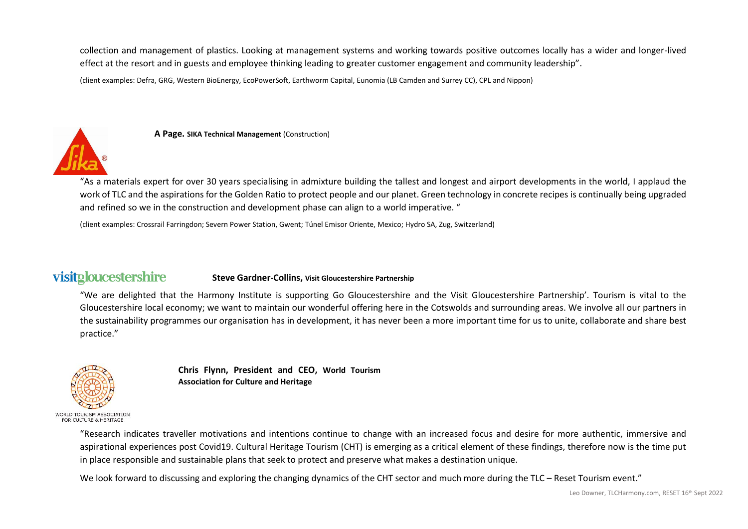collection and management of plastics. Looking at management systems and working towards positive outcomes locally has a wider and longer-lived effect at the resort and in guests and employee thinking leading to greater customer engagement and community leadership".

(client examples: Defra, GRG, Western BioEnergy, EcoPowerSoft, Earthworm Capital, Eunomia (LB Camden and Surrey CC), CPL and Nippon)



**A Page. SIKA Technical Management** (Construction)

"As a materials expert for over 30 years specialising in admixture building the tallest and longest and airport developments in the world, I applaud the work of TLC and the aspirations for the Golden Ratio to protect people and our planet. Green technology in concrete recipes is continually being upgraded and refined so we in the construction and development phase can align to a world imperative. "

(client examples: Crossrail Farringdon; Severn Power Station, Gwent; Túnel Emisor Oriente, Mexico; Hydro SA, Zug, Switzerland)

#### visitgloucestershire **Steve Gardner-Collins, Visit Gloucestershire Partnership**

"We are delighted that the Harmony Institute is supporting Go Gloucestershire and the Visit Gloucestershire Partnership'. Tourism is vital to the Gloucestershire local economy; we want to maintain our wonderful offering here in the Cotswolds and surrounding areas. We involve all our partners in the sustainability programmes our organisation has in development, it has never been a more important time for us to unite, collaborate and share best practice."



**Chris Flynn, President and CEO, World Tourism Association for Culture and Heritage**

"Research indicates traveller motivations and intentions continue to change with an increased focus and desire for more authentic, immersive and aspirational experiences post Covid19. Cultural Heritage Tourism (CHT) is emerging as a critical element of these findings, therefore now is the time put in place responsible and sustainable plans that seek to protect and preserve what makes a destination unique.

We look forward to discussing and exploring the changing dynamics of the CHT sector and much more during the TLC – Reset Tourism event."